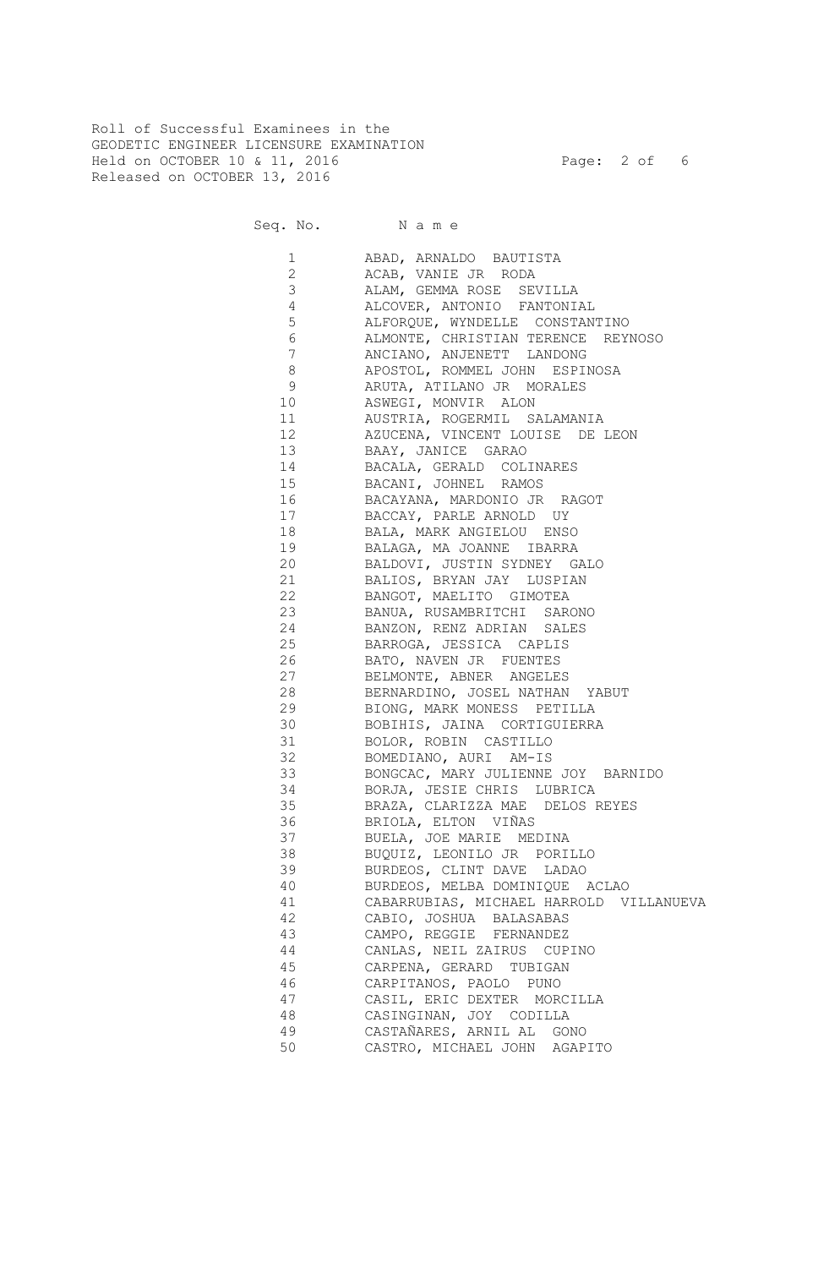Roll of Successful Examinees in the GEODETIC ENGINEER LICENSURE EXAMINATION Held on OCTOBER 10 & 11, 2016 Page: 2 of 6 Released on OCTOBER 13, 2016

Seq. No. Name

 1 ABAD, ARNALDO BAUTISTA 2 ACAB, VANIE JR RODA 3 ALAM, GEMMA ROSE SEVILLA 4 ALCOVER, ANTONIO FANTONIAL 5 ALFORQUE, WYNDELLE CONSTANTINO 6 ALMONTE, CHRISTIAN TERENCE REYNOSO 7 ANCIANO, ANJENETT LANDONG 8 APOSTOL, ROMMEL JOHN ESPINOSA 9 ARUTA, ATILANO JR MORALES 10 ASWEGI, MONVIR ALON 11 AUSTRIA, ROGERMIL SALAMANIA 12 AZUCENA, VINCENT LOUISE DE LEON 13 BAAY, JANICE GARAO 14 BACALA, GERALD COLINARES 15 BACANI, JOHNEL RAMOS 16 BACAYANA, MARDONIO JR RAGOT 17 BACCAY, PARLE ARNOLD UY 18 BALA, MARK ANGIELOU ENSO 19 BALAGA, MA JOANNE IBARRA 20 BALDOVI, JUSTIN SYDNEY GALO 21 BALIOS, BRYAN JAY LUSPIAN 22 BANGOT, MAELITO GIMOTEA 23 BANUA, RUSAMBRITCHI SARONO 24 BANZON, RENZ ADRIAN SALES 25 BARROGA, JESSICA CAPLIS 26 BATO, NAVEN JR FUENTES 27 BELMONTE, ABNER ANGELES 28 BERNARDINO, JOSEL NATHAN YABUT 29 BIONG, MARK MONESS PETILLA 30 BOBIHIS, JAINA CORTIGUIERRA 31 BOLOR, ROBIN CASTILLO 32 BOMEDIANO, AURI AM-IS 33 BONGCAC, MARY JULIENNE JOY BARNIDO 34 BORJA, JESIE CHRIS LUBRICA 35 BRAZA, CLARIZZA MAE DELOS REYES 36 BRIOLA, ELTON VIÑAS 37 BUELA, JOE MARIE MEDINA 38 BUQUIZ, LEONILO JR PORILLO 39 BURDEOS, CLINT DAVE LADAO 40 BURDEOS, MELBA DOMINIQUE ACLAO 41 CABARRUBIAS, MICHAEL HARROLD VILLANUEVA 42 CABIO, JOSHUA BALASABAS 43 CAMPO, REGGIE FERNANDEZ 44 CANLAS, NEIL ZAIRUS CUPINO 45 CARPENA, GERARD TUBIGAN 46 CARPITANOS, PAOLO PUNO 47 CASIL, ERIC DEXTER MORCILLA 48 CASINGINAN, JOY CODILLA 49 CASTAÑARES, ARNIL AL GONO 50 CASTRO, MICHAEL JOHN AGAPITO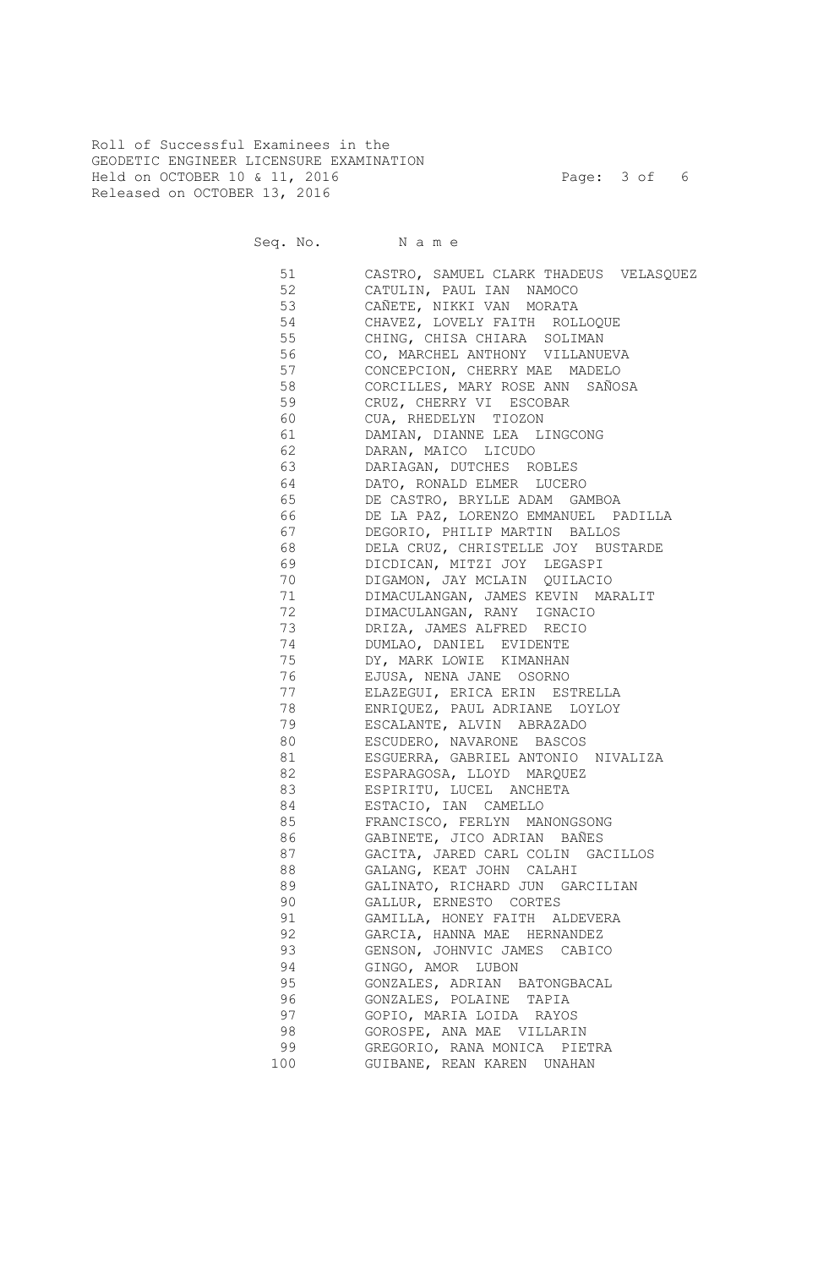Roll of Successful Examinees in the GEODETIC ENGINEER LICENSURE EXAMINATION Held on OCTOBER 10 & 11, 2016 **Page: 3 of 6** Released on OCTOBER 13, 2016

Seq. No. Name

 51 CASTRO, SAMUEL CLARK THADEUS VELASQUEZ 52 CATULIN, PAUL IAN NAMOCO 53 CAÑETE, NIKKI VAN MORATA 54 CHAVEZ, LOVELY FAITH ROLLOQUE 55 CHING, CHISA CHIARA SOLIMAN 56 CO, MARCHEL ANTHONY VILLANUEVA 57 CONCEPCION, CHERRY MAE MADELO 58 CORCILLES, MARY ROSE ANN SAÑOSA 59 CRUZ, CHERRY VI ESCOBAR 60 CUA, RHEDELYN TIOZON 61 DAMIAN, DIANNE LEA LINGCONG 62 DARAN, MAICO LICUDO 63 DARIAGAN, DUTCHES ROBLES 64 DATO, RONALD ELMER LUCERO 65 DE CASTRO, BRYLLE ADAM GAMBOA 66 DE LA PAZ, LORENZO EMMANUEL PADILLA 67 DEGORIO, PHILIP MARTIN BALLOS 68 DELA CRUZ, CHRISTELLE JOY BUSTARDE 69 DICDICAN, MITZI JOY LEGASPI 70 DIGAMON, JAY MCLAIN QUILACIO 71 DIMACULANGAN, JAMES KEVIN MARALIT 72 DIMACULANGAN, RANY IGNACIO 73 DRIZA, JAMES ALFRED RECIO 74 DUMLAO, DANIEL EVIDENTE 75 DY, MARK LOWIE KIMANHAN 76 EJUSA, NENA JANE OSORNO 77 ELAZEGUI, ERICA ERIN ESTRELLA 78 ENRIQUEZ, PAUL ADRIANE LOYLOY 79 ESCALANTE, ALVIN ABRAZADO 80 ESCUDERO, NAVARONE BASCOS 81 ESGUERRA, GABRIEL ANTONIO NIVALIZA 82 ESPARAGOSA, LLOYD MARQUEZ 83 ESPIRITU, LUCEL ANCHETA 84 ESTACIO, IAN CAMELLO 85 FRANCISCO, FERLYN MANONGSONG 86 GABINETE, JICO ADRIAN BAÑES 87 GACITA, JARED CARL COLIN GACILLOS 88 GALANG, KEAT JOHN CALAHI 89 GALINATO, RICHARD JUN GARCILIAN 90 GALLUR, ERNESTO CORTES 91 GAMILLA, HONEY FAITH ALDEVERA 92 GARCIA, HANNA MAE HERNANDEZ 93 GENSON, JOHNVIC JAMES CABICO 94 GINGO, AMOR LUBON 95 GONZALES, ADRIAN BATONGBACAL 96 GONZALES, POLAINE TAPIA 97 GOPIO, MARIA LOIDA RAYOS 98 GOROSPE, ANA MAE VILLARIN 99 GREGORIO, RANA MONICA PIETRA 100 GUIBANE, REAN KAREN UNAHAN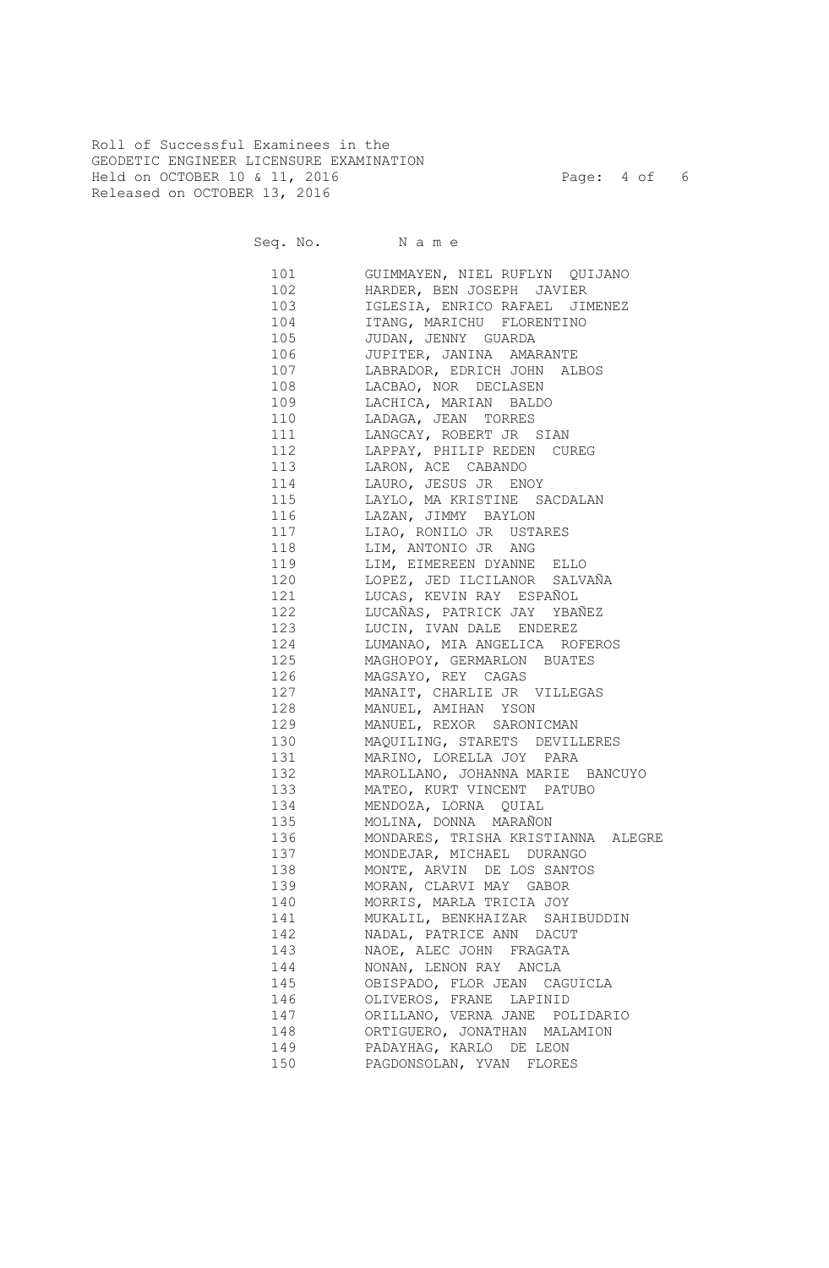Roll of Successful Examinees in the GEODETIC ENGINEER LICENSURE EXAMINATION Held on OCTOBER 10 & 11, 2016 Page: 4 of 6 Released on OCTOBER 13, 2016

Seq. No. Name

 101 GUIMMAYEN, NIEL RUFLYN QUIJANO 102 HARDER, BEN JOSEPH JAVIER 103 IGLESIA, ENRICO RAFAEL JIMENEZ 104 ITANG, MARICHU FLORENTINO 105 JUDAN, JENNY GUARDA 106 JUPITER, JANINA AMARANTE 107 LABRADOR, EDRICH JOHN ALBOS 108 LACBAO, NOR DECLASEN 109 LACHICA, MARIAN BALDO 110 LADAGA, JEAN TORRES 111 LANGCAY, ROBERT JR SIAN 112 LAPPAY, PHILIP REDEN CUREG 113 LARON, ACE CABANDO 114 LAURO, JESUS JR ENOY 115 LAYLO, MA KRISTINE SACDALAN 116 LAZAN, JIMMY BAYLON 117 LIAO, RONILO JR USTARES 118 LIM, ANTONIO JR ANG 119 LIM, EIMEREEN DYANNE ELLO 120 LOPEZ, JED ILCILANOR SALVAÑA 121 LUCAS, KEVIN RAY ESPAÑOL 122 LUCAÑAS, PATRICK JAY YBAÑEZ 123 LUCIN, IVAN DALE ENDEREZ 124 LUMANAO, MIA ANGELICA ROFEROS 125 MAGHOPOY, GERMARLON BUATES 126 MAGSAYO, REY CAGAS 127 MANAIT, CHARLIE JR VILLEGAS 128 MANUEL, AMIHAN YSON 129 MANUEL, REXOR SARONICMAN 130 MAQUILING, STARETS DEVILLERES 131 MARINO, LORELLA JOY PARA 132 MAROLLANO, JOHANNA MARIE BANCUYO 133 MATEO, KURT VINCENT PATUBO 134 MENDOZA, LORNA QUIAL 135 MOLINA, DONNA MARAÑON 136 MONDARES, TRISHA KRISTIANNA ALEGRE 137 MONDEJAR, MICHAEL DURANGO 138 MONTE, ARVIN DE LOS SANTOS 139 MORAN, CLARVI MAY GABOR 140 MORRIS, MARLA TRICIA JOY 141 MUKALIL, BENKHAIZAR SAHIBUDDIN 142 NADAL, PATRICE ANN DACUT 143 NAOE, ALEC JOHN FRAGATA 144 NONAN, LENON RAY ANCLA 145 OBISPADO, FLOR JEAN CAGUICLA 146 OLIVEROS, FRANE LAPINID 147 ORILLANO, VERNA JANE POLIDARIO 148 ORTIGUERO, JONATHAN MALAMION 149 PADAYHAG, KARLO DE LEON 150 PAGDONSOLAN, YVAN FLORES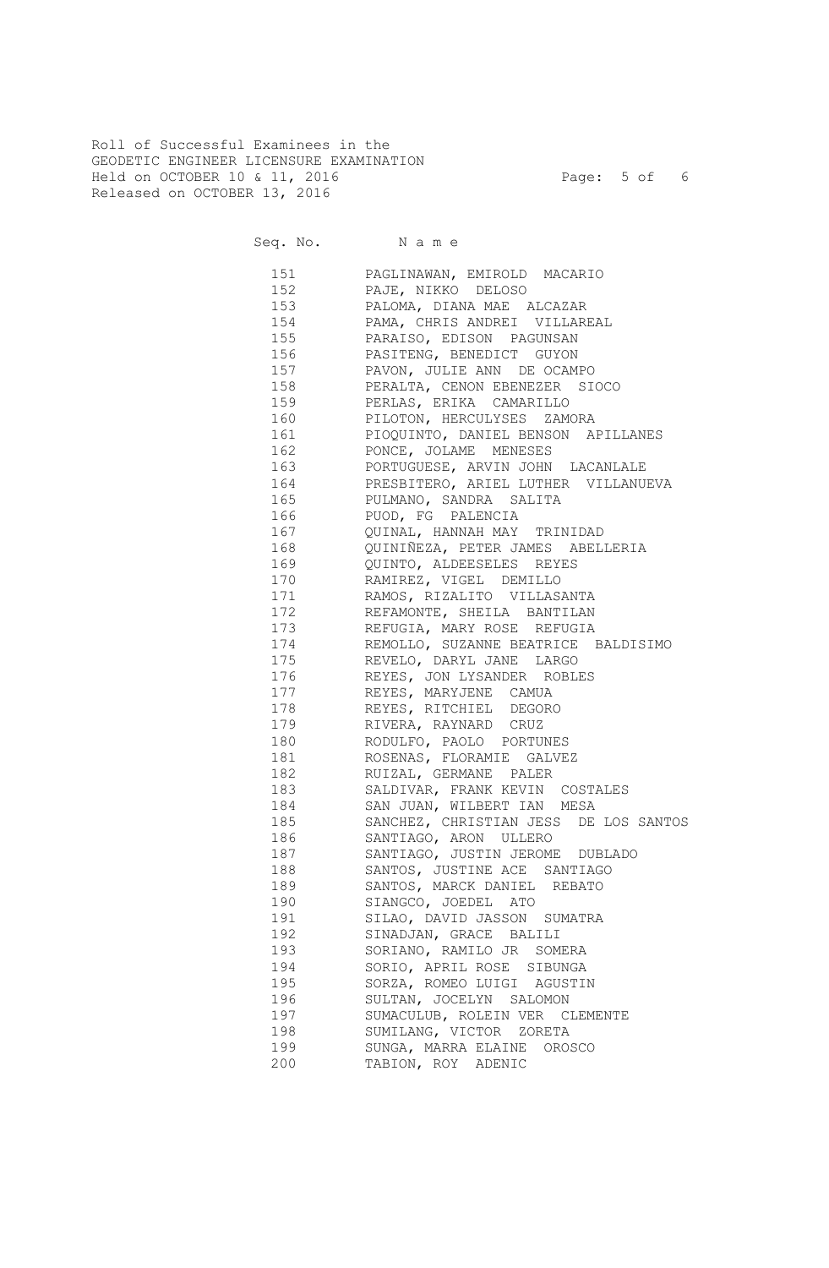Roll of Successful Examinees in the GEODETIC ENGINEER LICENSURE EXAMINATION Held on OCTOBER 10 & 11, 2016 Page: 5 of 6 Released on OCTOBER 13, 2016

Seq. No. Name

 151 PAGLINAWAN, EMIROLD MACARIO 152 PAJE, NIKKO DELOSO 153 PALOMA, DIANA MAE ALCAZAR 154 PAMA, CHRIS ANDREI VILLAREAL 155 PARAISO, EDISON PAGUNSAN 156 PASITENG, BENEDICT GUYON 157 PAVON, JULIE ANN DE OCAMPO PERALTA, CENON EBENEZER SIOCO 159 PERLAS, ERIKA CAMARILLO 160 PILOTON, HERCULYSES ZAMORA 161 PIOQUINTO, DANIEL BENSON APILLANES 162 PONCE, JOLAME MENESES 163 PORTUGUESE, ARVIN JOHN LACANLALE 164 PRESBITERO, ARIEL LUTHER VILLANUEVA 165 PULMANO, SANDRA SALITA 166 PUOD, FG PALENCIA 167 QUINAL, HANNAH MAY TRINIDAD 168 QUINIÑEZA, PETER JAMES ABELLERIA 169 QUINTO, ALDEESELES REYES 170 RAMIREZ, VIGEL DEMILLO 171 RAMOS, RIZALITO VILLASANTA 172 REFAMONTE, SHEILA BANTILAN 173 REFUGIA, MARY ROSE REFUGIA 174 REMOLLO, SUZANNE BEATRICE BALDISIMO 175 REVELO, DARYL JANE LARGO 176 REYES, JON LYSANDER ROBLES 177 REYES, MARYJENE CAMUA 178 REYES, RITCHIEL DEGORO 179 RIVERA, RAYNARD CRUZ 180 RODULFO, PAOLO PORTUNES 181 ROSENAS, FLORAMIE GALVEZ 182 RUIZAL, GERMANE PALER 183 SALDIVAR, FRANK KEVIN COSTALES 184 SAN JUAN, WILBERT IAN MESA 185 SANCHEZ, CHRISTIAN JESS DE LOS SANTOS 186 SANTIAGO, ARON ULLERO 187 SANTIAGO, JUSTIN JEROME DUBLADO 188 SANTOS, JUSTINE ACE SANTIAGO 189 SANTOS, MARCK DANIEL REBATO 190 SIANGCO, JOEDEL ATO 191 SILAO, DAVID JASSON SUMATRA 192 SINADJAN, GRACE BALILI 193 SORIANO, RAMILO JR SOMERA 194 SORIO, APRIL ROSE SIBUNGA 195 SORZA, ROMEO LUIGI AGUSTIN 196 SULTAN, JOCELYN SALOMON 197 SUMACULUB, ROLEIN VER CLEMENTE 198 SUMILANG, VICTOR ZORETA 199 SUNGA, MARRA ELAINE OROSCO 200 TABION, ROY ADENIC